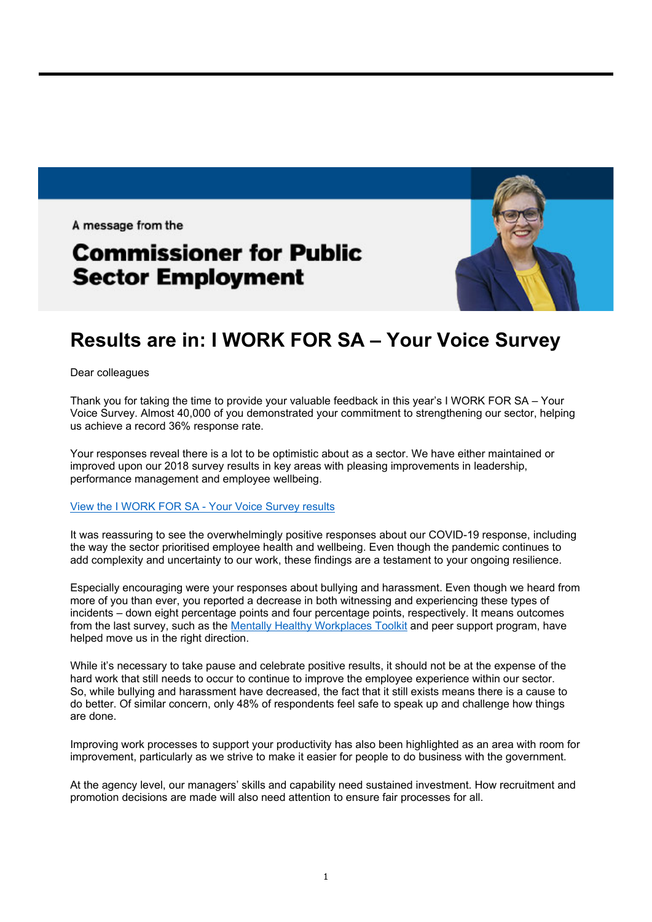A message from the

## **Commissioner for Public Sector Employment**



## **Results are in: I WORK FOR SA – Your Voice Survey**

Dear colleagues

Thank you for taking the time to provide your valuable feedback in this year's I WORK FOR SA – Your Voice Survey. Almost 40,000 of you demonstrated your commitment to strengthening our sector, helping us achieve a record 36% response rate.

Your responses reveal there is a lot to be optimistic about as a sector. We have either maintained or improved upon our 2018 survey results in key areas with pleasing improvements in leadership, performance management and employee wellbeing.

## View the I WORK FOR SA - Your Voice Survey results

It was reassuring to see the overwhelmingly positive responses about our COVID-19 response, including the way the sector prioritised employee health and wellbeing. Even though the pandemic continues to add complexity and uncertainty to our work, these findings are a testament to your ongoing resilience.

Especially encouraging were your responses about bullying and harassment. Even though we heard from more of you than ever, you reported a decrease in both witnessing and experiencing these types of incidents – down eight percentage points and four percentage points, respectively. It means outcomes from the last survey, such as the Mentally Healthy Workplaces Toolkit and peer support program, have helped move us in the right direction.

While it's necessary to take pause and celebrate positive results, it should not be at the expense of the hard work that still needs to occur to continue to improve the employee experience within our sector. So, while bullying and harassment have decreased, the fact that it still exists means there is a cause to do better. Of similar concern, only 48% of respondents feel safe to speak up and challenge how things are done.

Improving work processes to support your productivity has also been highlighted as an area with room for improvement, particularly as we strive to make it easier for people to do business with the government.

At the agency level, our managers' skills and capability need sustained investment. How recruitment and promotion decisions are made will also need attention to ensure fair processes for all.